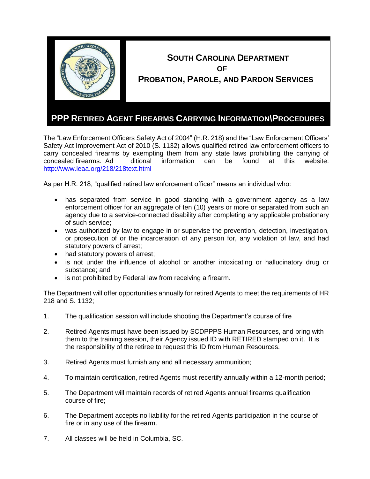

## **SOUTH CAROLINA DEPARTMENT OF PROBATION, PAROLE, AND PARDON SERVICES**

## **PPP RETIRED AGENT FIREARMS CARRYING INFORMATION\PROCEDURES**

The "Law Enforcement Officers Safety Act of 2004" (H.R. 218) and the "Law Enforcement Officers' Safety Act Improvement Act of 2010 (S. 1132) allows qualified retired law enforcement officers to carry concealed firearms by exempting them from any state laws prohibiting the carrying of concealed firearms. Ad ditional information can be found at this website: <http://www.leaa.org/218/218text.html>

As per H.R. 218, "qualified retired law enforcement officer" means an individual who:

- has separated from service in good standing with a government agency as a law enforcement officer for an aggregate of ten (10) years or more or separated from such an agency due to a service-connected disability after completing any applicable probationary of such service;
- was authorized by law to engage in or supervise the prevention, detection, investigation, or prosecution of or the incarceration of any person for, any violation of law, and had statutory powers of arrest;
- had statutory powers of arrest;
- is not under the influence of alcohol or another intoxicating or hallucinatory drug or substance; and
- is not prohibited by Federal law from receiving a firearm.

The Department will offer opportunities annually for retired Agents to meet the requirements of HR 218 and S. 1132;

- 1. The qualification session will include shooting the Department's course of fire
- 2. Retired Agents must have been issued by SCDPPPS Human Resources, and bring with them to the training session, their Agency issued ID with RETIRED stamped on it. It is the responsibility of the retiree to request this ID from Human Resources.
- 3. Retired Agents must furnish any and all necessary ammunition;
- 4. To maintain certification, retired Agents must recertify annually within a 12-month period;
- 5. The Department will maintain records of retired Agents annual firearms qualification course of fire;
- 6. The Department accepts no liability for the retired Agents participation in the course of fire or in any use of the firearm.
- 7. All classes will be held in Columbia, SC.